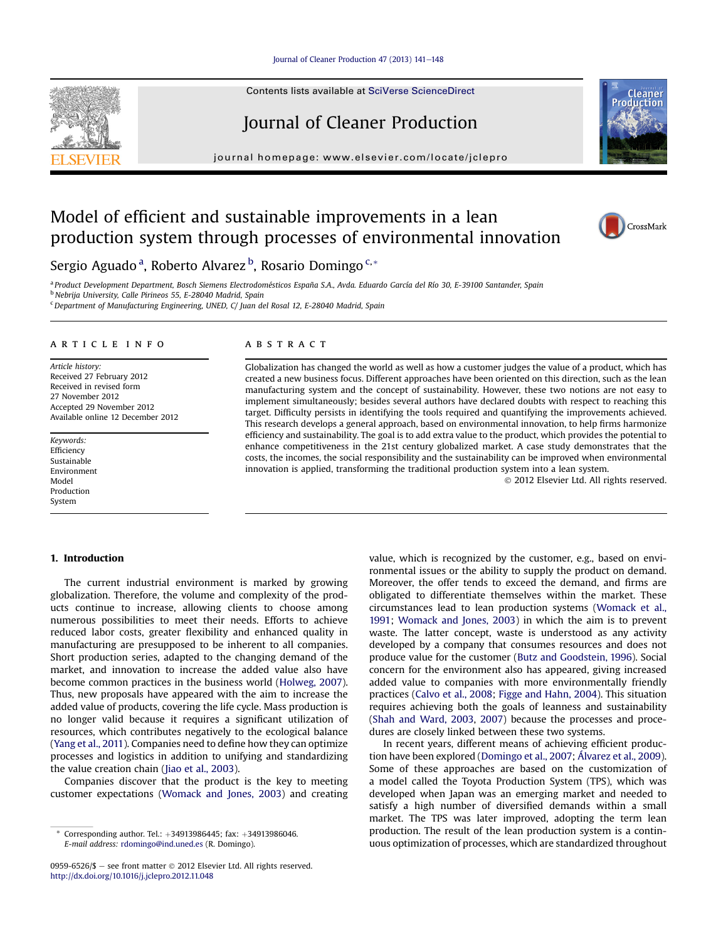#### [Journal of Cleaner Production 47 \(2013\) 141](http://dx.doi.org/10.1016/j.jclepro.2012.11.048)-[148](http://dx.doi.org/10.1016/j.jclepro.2012.11.048)

Contents lists available at SciVerse ScienceDirect

## Journal of Cleaner Production

journal homepage: [www.elsevier.com/locate/jclepro](http://www.elsevier.com/locate/jclepro)

## Model of efficient and sustainable improvements in a lean production system through processes of environmental innovation



Produ

Sergio Aguado <sup>a</sup>, Roberto Alvarez <sup>b</sup>, Rosario Domingo <sup>c,</sup>\*

<sup>a</sup> Product Development Department, Bosch Siemens Electrodomésticos España S.A., Avda. Eduardo García del Río 30, E-39100 Santander, Spain <sup>b</sup> Nebrija University, Calle Pirineos 55, E-28040 Madrid, Spain

 $c$ Department of Manufacturing Engineering, UNED, C/ Juan del Rosal 12, E-28040 Madrid, Spain

#### article info

Article history: Received 27 February 2012 Received in revised form 27 November 2012 Accepted 29 November 2012 Available online 12 December 2012

Keywords: Efficiency Sustainable Environment Model Production System

#### **ABSTRACT**

Globalization has changed the world as well as how a customer judges the value of a product, which has created a new business focus. Different approaches have been oriented on this direction, such as the lean manufacturing system and the concept of sustainability. However, these two notions are not easy to implement simultaneously; besides several authors have declared doubts with respect to reaching this target. Difficulty persists in identifying the tools required and quantifying the improvements achieved. This research develops a general approach, based on environmental innovation, to help firms harmonize efficiency and sustainability. The goal is to add extra value to the product, which provides the potential to enhance competitiveness in the 21st century globalized market. A case study demonstrates that the costs, the incomes, the social responsibility and the sustainability can be improved when environmental innovation is applied, transforming the traditional production system into a lean system.

2012 Elsevier Ltd. All rights reserved.

### 1. Introduction

The current industrial environment is marked by growing globalization. Therefore, the volume and complexity of the products continue to increase, allowing clients to choose among numerous possibilities to meet their needs. Efforts to achieve reduced labor costs, greater flexibility and enhanced quality in manufacturing are presupposed to be inherent to all companies. Short production series, adapted to the changing demand of the market, and innovation to increase the added value also have become common practices in the business world ([Holweg, 2007\)](#page--1-0). Thus, new proposals have appeared with the aim to increase the added value of products, covering the life cycle. Mass production is no longer valid because it requires a significant utilization of resources, which contributes negatively to the ecological balance ([Yang et al., 2011](#page--1-0)). Companies need to define how they can optimize processes and logistics in addition to unifying and standardizing the value creation chain [\(Jiao et al., 2003\)](#page--1-0).

Companies discover that the product is the key to meeting customer expectations ([Womack and Jones, 2003\)](#page--1-0) and creating value, which is recognized by the customer, e.g., based on environmental issues or the ability to supply the product on demand. Moreover, the offer tends to exceed the demand, and firms are obligated to differentiate themselves within the market. These circumstances lead to lean production systems ([Womack et al.,](#page--1-0) [1991;](#page--1-0) [Womack and Jones, 2003](#page--1-0)) in which the aim is to prevent waste. The latter concept, waste is understood as any activity developed by a company that consumes resources and does not produce value for the customer ([Butz and Goodstein, 1996](#page--1-0)). Social concern for the environment also has appeared, giving increased added value to companies with more environmentally friendly practices ([Calvo et al., 2008;](#page--1-0) [Figge and Hahn, 2004\)](#page--1-0). This situation requires achieving both the goals of leanness and sustainability ([Shah and Ward, 2003,](#page--1-0) [2007](#page--1-0)) because the processes and procedures are closely linked between these two systems.

In recent years, different means of achieving efficient production have been explored [\(Domingo et al., 2007;](#page--1-0) [Álvarez et al., 2009\)](#page--1-0). Some of these approaches are based on the customization of a model called the Toyota Production System (TPS), which was developed when Japan was an emerging market and needed to satisfy a high number of diversified demands within a small market. The TPS was later improved, adopting the term lean production. The result of the lean production system is a continuous optimization of processes, which are standardized throughout



Corresponding author. Tel.: +34913986445; fax: +34913986046. E-mail address: [rdomingo@ind.uned.es](mailto:rdomingo@ind.uned.es) (R. Domingo).

<sup>0959-6526/\$ -</sup> see front matter  $\odot$  2012 Elsevier Ltd. All rights reserved. <http://dx.doi.org/10.1016/j.jclepro.2012.11.048>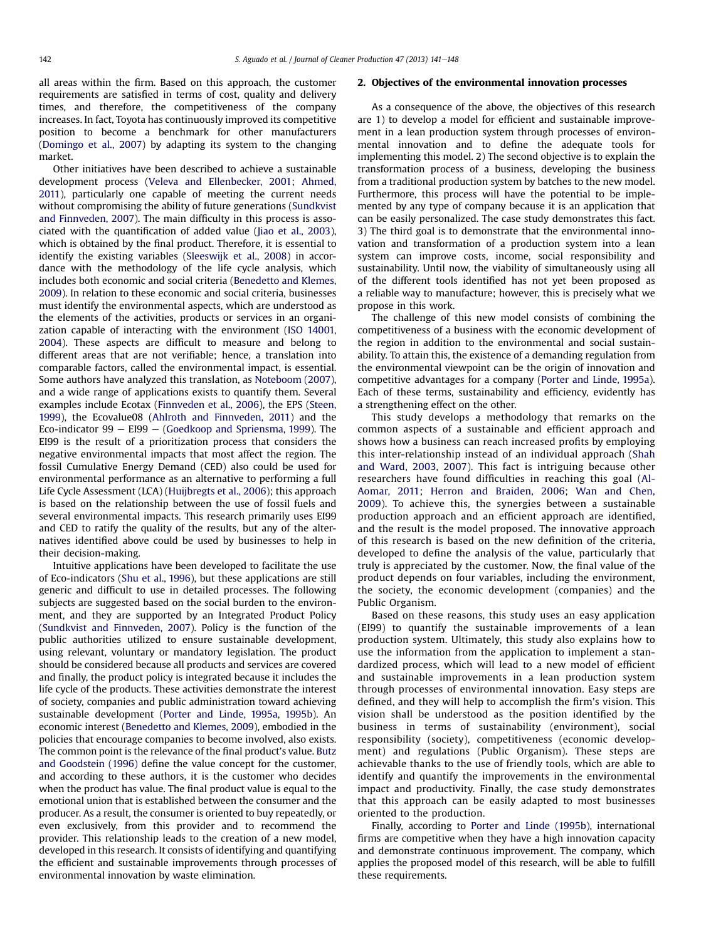all areas within the firm. Based on this approach, the customer requirements are satisfied in terms of cost, quality and delivery times, and therefore, the competitiveness of the company increases. In fact, Toyota has continuously improved its competitive position to become a benchmark for other manufacturers ([Domingo et al., 2007\)](#page--1-0) by adapting its system to the changing market.

Other initiatives have been described to achieve a sustainable development process [\(Veleva and Ellenbecker, 2001](#page--1-0); [Ahmed,](#page--1-0) [2011\)](#page--1-0), particularly one capable of meeting the current needs without compromising the ability of future generations ([Sundkvist](#page--1-0) [and Finnveden, 2007](#page--1-0)). The main difficulty in this process is associated with the quantification of added value [\(Jiao et al., 2003](#page--1-0)), which is obtained by the final product. Therefore, it is essential to identify the existing variables [\(Sleeswijk et al., 2008](#page--1-0)) in accordance with the methodology of the life cycle analysis, which includes both economic and social criteria [\(Benedetto and Klemes,](#page--1-0) [2009](#page--1-0)). In relation to these economic and social criteria, businesses must identify the environmental aspects, which are understood as the elements of the activities, products or services in an organization capable of interacting with the environment ([ISO 14001,](#page--1-0) [2004](#page--1-0)). These aspects are difficult to measure and belong to different areas that are not verifiable; hence, a translation into comparable factors, called the environmental impact, is essential. Some authors have analyzed this translation, as [Noteboom \(2007\)](#page--1-0), and a wide range of applications exists to quantify them. Several examples include Ecotax [\(Finnveden et al., 2006\)](#page--1-0), the EPS [\(Steen,](#page--1-0) [1999](#page--1-0)), the Ecovalue08 ([Ahlroth and Finnveden, 2011\)](#page--1-0) and the Eco-indicator  $99 - E199 - G0$ edkoop and Spriensma, 1999). The EI99 is the result of a prioritization process that considers the negative environmental impacts that most affect the region. The fossil Cumulative Energy Demand (CED) also could be used for environmental performance as an alternative to performing a full Life Cycle Assessment (LCA) [\(Huijbregts et al., 2006\)](#page--1-0); this approach is based on the relationship between the use of fossil fuels and several environmental impacts. This research primarily uses EI99 and CED to ratify the quality of the results, but any of the alternatives identified above could be used by businesses to help in their decision-making.

Intuitive applications have been developed to facilitate the use of Eco-indicators ([Shu et al., 1996\)](#page--1-0), but these applications are still generic and difficult to use in detailed processes. The following subjects are suggested based on the social burden to the environment, and they are supported by an Integrated Product Policy ([Sundkvist and Finnveden, 2007\)](#page--1-0). Policy is the function of the public authorities utilized to ensure sustainable development, using relevant, voluntary or mandatory legislation. The product should be considered because all products and services are covered and finally, the product policy is integrated because it includes the life cycle of the products. These activities demonstrate the interest of society, companies and public administration toward achieving sustainable development ([Porter and Linde, 1995a](#page--1-0), [1995b\)](#page--1-0). An economic interest ([Benedetto and Klemes, 2009](#page--1-0)), embodied in the policies that encourage companies to become involved, also exists. The common point is the relevance of the final product's value. [Butz](#page--1-0) [and Goodstein \(1996\)](#page--1-0) define the value concept for the customer, and according to these authors, it is the customer who decides when the product has value. The final product value is equal to the emotional union that is established between the consumer and the producer. As a result, the consumer is oriented to buy repeatedly, or even exclusively, from this provider and to recommend the provider. This relationship leads to the creation of a new model, developed in this research. It consists of identifying and quantifying the efficient and sustainable improvements through processes of environmental innovation by waste elimination.

#### 2. Objectives of the environmental innovation processes

As a consequence of the above, the objectives of this research are 1) to develop a model for efficient and sustainable improvement in a lean production system through processes of environmental innovation and to define the adequate tools for implementing this model. 2) The second objective is to explain the transformation process of a business, developing the business from a traditional production system by batches to the new model. Furthermore, this process will have the potential to be implemented by any type of company because it is an application that can be easily personalized. The case study demonstrates this fact. 3) The third goal is to demonstrate that the environmental innovation and transformation of a production system into a lean system can improve costs, income, social responsibility and sustainability. Until now, the viability of simultaneously using all of the different tools identified has not yet been proposed as a reliable way to manufacture; however, this is precisely what we propose in this work.

The challenge of this new model consists of combining the competitiveness of a business with the economic development of the region in addition to the environmental and social sustainability. To attain this, the existence of a demanding regulation from the environmental viewpoint can be the origin of innovation and competitive advantages for a company ([Porter and Linde, 1995a\)](#page--1-0). Each of these terms, sustainability and efficiency, evidently has a strengthening effect on the other.

This study develops a methodology that remarks on the common aspects of a sustainable and efficient approach and shows how a business can reach increased profits by employing this inter-relationship instead of an individual approach ([Shah](#page--1-0) [and Ward, 2003](#page--1-0), [2007](#page--1-0)). This fact is intriguing because other researchers have found difficulties in reaching this goal [\(Al-](#page--1-0)[Aomar, 2011](#page--1-0); [Herron and Braiden, 2006;](#page--1-0) [Wan and Chen,](#page--1-0) [2009\)](#page--1-0). To achieve this, the synergies between a sustainable production approach and an efficient approach are identified, and the result is the model proposed. The innovative approach of this research is based on the new definition of the criteria, developed to define the analysis of the value, particularly that truly is appreciated by the customer. Now, the final value of the product depends on four variables, including the environment, the society, the economic development (companies) and the Public Organism.

Based on these reasons, this study uses an easy application (EI99) to quantify the sustainable improvements of a lean production system. Ultimately, this study also explains how to use the information from the application to implement a standardized process, which will lead to a new model of efficient and sustainable improvements in a lean production system through processes of environmental innovation. Easy steps are defined, and they will help to accomplish the firm's vision. This vision shall be understood as the position identified by the business in terms of sustainability (environment), social responsibility (society), competitiveness (economic development) and regulations (Public Organism). These steps are achievable thanks to the use of friendly tools, which are able to identify and quantify the improvements in the environmental impact and productivity. Finally, the case study demonstrates that this approach can be easily adapted to most businesses oriented to the production.

Finally, according to [Porter and Linde \(1995b\),](#page--1-0) international firms are competitive when they have a high innovation capacity and demonstrate continuous improvement. The company, which applies the proposed model of this research, will be able to fulfill these requirements.